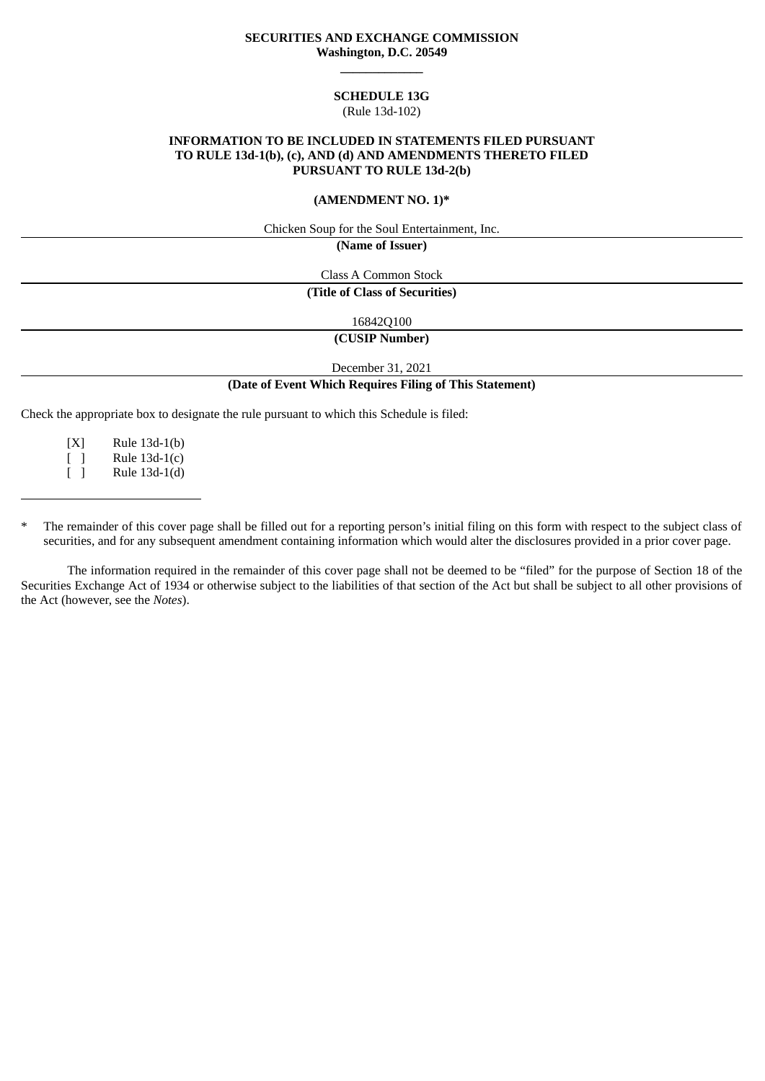## **SECURITIES AND EXCHANGE COMMISSION Washington, D.C. 20549 \_\_\_\_\_\_\_\_\_\_\_\_\_**

### **SCHEDULE 13G** (Rule 13d-102)

## **INFORMATION TO BE INCLUDED IN STATEMENTS FILED PURSUANT TO RULE 13d-1(b), (c), AND (d) AND AMENDMENTS THERETO FILED PURSUANT TO RULE 13d-2(b)**

## **(AMENDMENT NO. 1)\***

Chicken Soup for the Soul Entertainment, Inc.

**(Name of Issuer)**

Class A Common Stock

**(Title of Class of Securities)**

16842Q100

**(CUSIP Number)**

December 31, 2021

## **(Date of Event Which Requires Filing of This Statement)**

Check the appropriate box to designate the rule pursuant to which this Schedule is filed:

[X] Rule 13d-1(b)  $\lceil$  1 Rule 13d-1(c) [ ] Rule 13d-1(d)

The remainder of this cover page shall be filled out for a reporting person's initial filing on this form with respect to the subject class of securities, and for any subsequent amendment containing information which would alter the disclosures provided in a prior cover page.

The information required in the remainder of this cover page shall not be deemed to be "filed" for the purpose of Section 18 of the Securities Exchange Act of 1934 or otherwise subject to the liabilities of that section of the Act but shall be subject to all other provisions of the Act (however, see the *Notes*).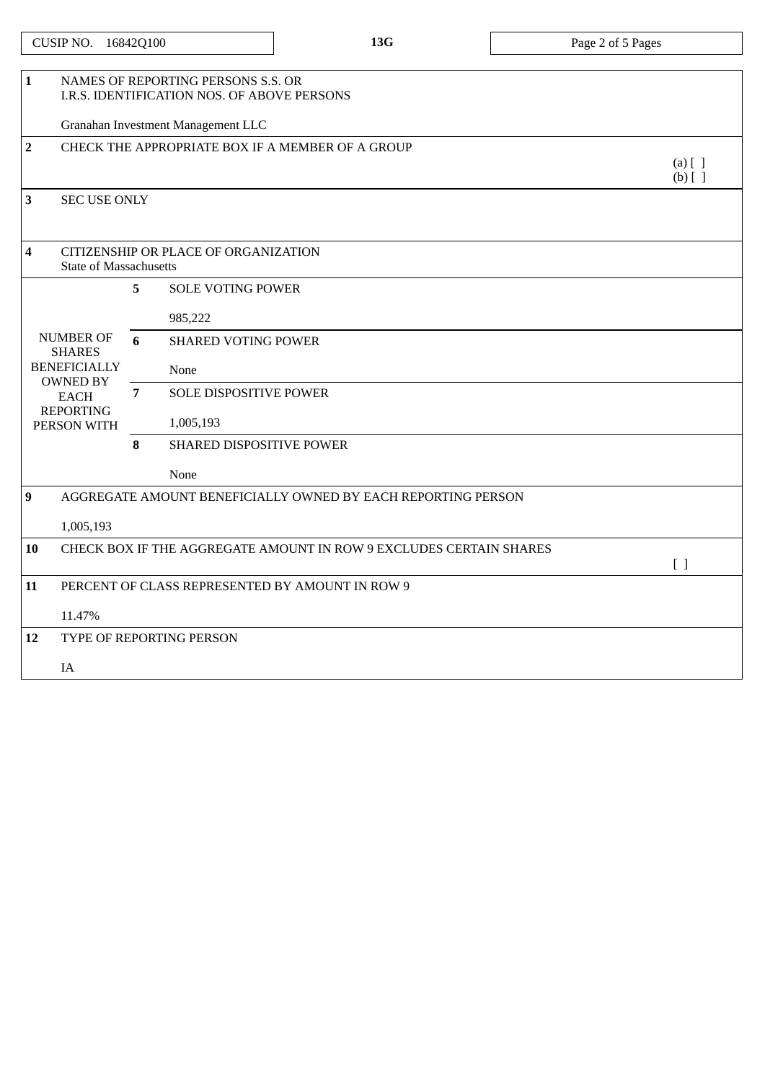| CUSIP NO. | 16842Q100 |
|-----------|-----------|
|-----------|-----------|

| $\mathbf{1}$   | NAMES OF REPORTING PERSONS S.S. OR                       |   |                                                                    |           |  |  |
|----------------|----------------------------------------------------------|---|--------------------------------------------------------------------|-----------|--|--|
|                | I.R.S. IDENTIFICATION NOS. OF ABOVE PERSONS              |   |                                                                    |           |  |  |
|                | Granahan Investment Management LLC                       |   |                                                                    |           |  |  |
| $\overline{2}$ |                                                          |   | CHECK THE APPROPRIATE BOX IF A MEMBER OF A GROUP                   | $(a)$ [ ] |  |  |
|                |                                                          |   |                                                                    |           |  |  |
|                |                                                          |   |                                                                    | $(b)$ [ ] |  |  |
| 3              | <b>SEC USE ONLY</b>                                      |   |                                                                    |           |  |  |
|                |                                                          |   |                                                                    |           |  |  |
| 4              |                                                          |   | CITIZENSHIP OR PLACE OF ORGANIZATION                               |           |  |  |
|                | <b>State of Massachusetts</b>                            |   |                                                                    |           |  |  |
|                |                                                          | 5 | <b>SOLE VOTING POWER</b>                                           |           |  |  |
|                | <b>NUMBER OF</b><br><b>SHARES</b><br><b>BENEFICIALLY</b> |   | 985,222                                                            |           |  |  |
|                |                                                          | 6 | <b>SHARED VOTING POWER</b>                                         |           |  |  |
|                |                                                          |   | None                                                               |           |  |  |
|                | <b>OWNED BY</b><br><b>EACH</b>                           | 7 | <b>SOLE DISPOSITIVE POWER</b>                                      |           |  |  |
|                | <b>REPORTING</b><br>PERSON WITH                          |   | 1,005,193                                                          |           |  |  |
|                |                                                          | 8 | <b>SHARED DISPOSITIVE POWER</b>                                    |           |  |  |
|                |                                                          |   | None                                                               |           |  |  |
|                |                                                          |   |                                                                    |           |  |  |
| 9              |                                                          |   | AGGREGATE AMOUNT BENEFICIALLY OWNED BY EACH REPORTING PERSON       |           |  |  |
|                | 1,005,193                                                |   |                                                                    |           |  |  |
| 10             |                                                          |   | CHECK BOX IF THE AGGREGATE AMOUNT IN ROW 9 EXCLUDES CERTAIN SHARES |           |  |  |
|                |                                                          |   |                                                                    | $[ \ ]$   |  |  |
| 11             |                                                          |   | PERCENT OF CLASS REPRESENTED BY AMOUNT IN ROW 9                    |           |  |  |
|                | 11.47%                                                   |   |                                                                    |           |  |  |
| 12             |                                                          |   | TYPE OF REPORTING PERSON                                           |           |  |  |
|                |                                                          |   |                                                                    |           |  |  |
|                | IA                                                       |   |                                                                    |           |  |  |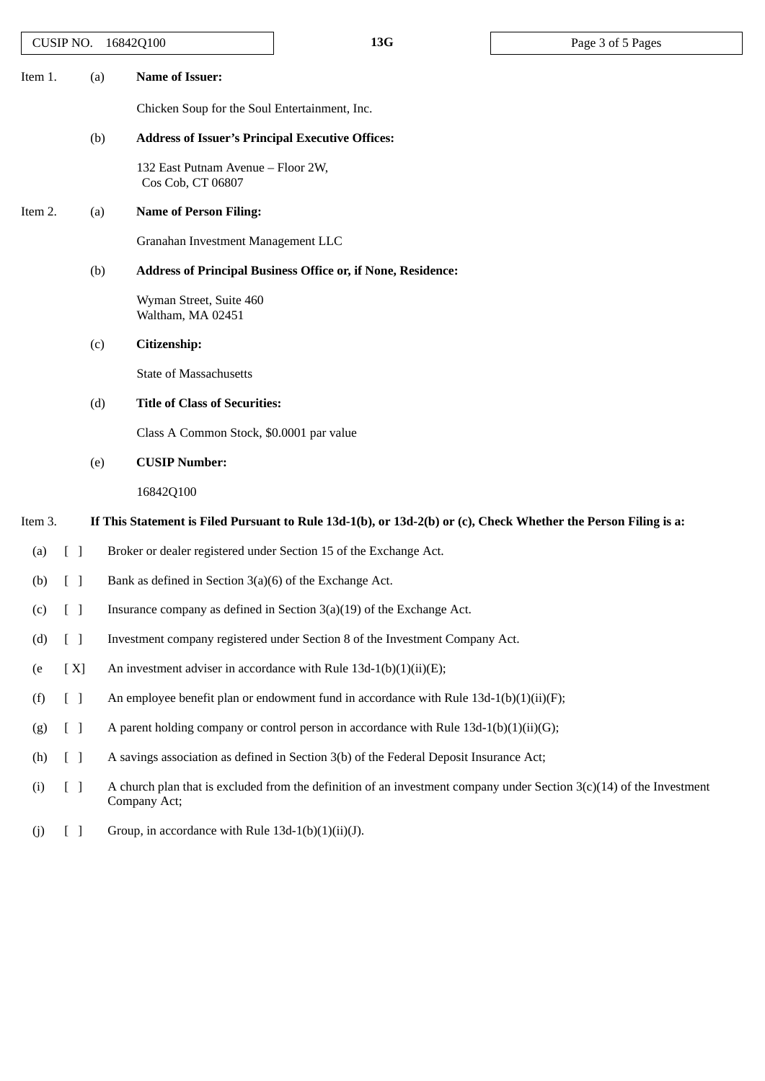| CUSIP NO. 16842Q100 |                                 |                                                                | 13G                                                                                                             | Page 3 of 5 Pages                                                                                                      |  |
|---------------------|---------------------------------|----------------------------------------------------------------|-----------------------------------------------------------------------------------------------------------------|------------------------------------------------------------------------------------------------------------------------|--|
| Item 1.             | (a)                             | <b>Name of Issuer:</b>                                         |                                                                                                                 |                                                                                                                        |  |
|                     |                                 | Chicken Soup for the Soul Entertainment, Inc.                  |                                                                                                                 |                                                                                                                        |  |
|                     |                                 | (b)<br><b>Address of Issuer's Principal Executive Offices:</b> |                                                                                                                 |                                                                                                                        |  |
|                     |                                 | 132 East Putnam Avenue - Floor 2W,<br>Cos Cob, CT 06807        |                                                                                                                 |                                                                                                                        |  |
| Item 2.             |                                 | <b>Name of Person Filing:</b><br>(a)                           |                                                                                                                 |                                                                                                                        |  |
|                     |                                 | Granahan Investment Management LLC                             |                                                                                                                 |                                                                                                                        |  |
|                     |                                 | (b)                                                            | Address of Principal Business Office or, if None, Residence:                                                    |                                                                                                                        |  |
|                     |                                 | Wyman Street, Suite 460<br>Waltham, MA 02451                   |                                                                                                                 |                                                                                                                        |  |
|                     | (c)                             | Citizenship:                                                   |                                                                                                                 |                                                                                                                        |  |
|                     |                                 | <b>State of Massachusetts</b>                                  |                                                                                                                 |                                                                                                                        |  |
|                     |                                 | <b>Title of Class of Securities:</b><br>(d)                    |                                                                                                                 |                                                                                                                        |  |
|                     |                                 | Class A Common Stock, \$0.0001 par value                       |                                                                                                                 |                                                                                                                        |  |
|                     | (e)                             | <b>CUSIP Number:</b>                                           |                                                                                                                 |                                                                                                                        |  |
|                     |                                 | 16842Q100                                                      |                                                                                                                 |                                                                                                                        |  |
| Item 3.             |                                 |                                                                | If This Statement is Filed Pursuant to Rule 13d-1(b), or 13d-2(b) or (c), Check Whether the Person Filing is a: |                                                                                                                        |  |
| (a)                 | $\begin{bmatrix} \end{bmatrix}$ |                                                                | Broker or dealer registered under Section 15 of the Exchange Act.                                               |                                                                                                                        |  |
| (b)                 | $[\ ]$                          | Bank as defined in Section 3(a)(6) of the Exchange Act.        |                                                                                                                 |                                                                                                                        |  |
| $(c)$ [ ]           |                                 |                                                                | Insurance company as defined in Section $3(a)(19)$ of the Exchange Act.                                         |                                                                                                                        |  |
| (d)                 | $[\ ]$                          |                                                                | Investment company registered under Section 8 of the Investment Company Act.                                    |                                                                                                                        |  |
| (e                  | [X]                             |                                                                | An investment adviser in accordance with Rule 13d-1(b)(1)(ii)(E);                                               |                                                                                                                        |  |
| (f)                 | $\begin{bmatrix} \end{bmatrix}$ |                                                                | An employee benefit plan or endowment fund in accordance with Rule $13d-1(b)(1)(ii)(F)$ ;                       |                                                                                                                        |  |
| (g)                 | $[\ ]$                          |                                                                | A parent holding company or control person in accordance with Rule 13d-1(b)(1)(ii)(G);                          |                                                                                                                        |  |
| (h)                 | $[\ ]$                          |                                                                | A savings association as defined in Section 3(b) of the Federal Deposit Insurance Act;                          |                                                                                                                        |  |
| (i)                 | $[\ ]$                          | Company Act;                                                   |                                                                                                                 | A church plan that is excluded from the definition of an investment company under Section $3(c)(14)$ of the Investment |  |

(j)  $[ ]$  Group, in accordance with Rule 13d-1(b)(1)(ii)(J).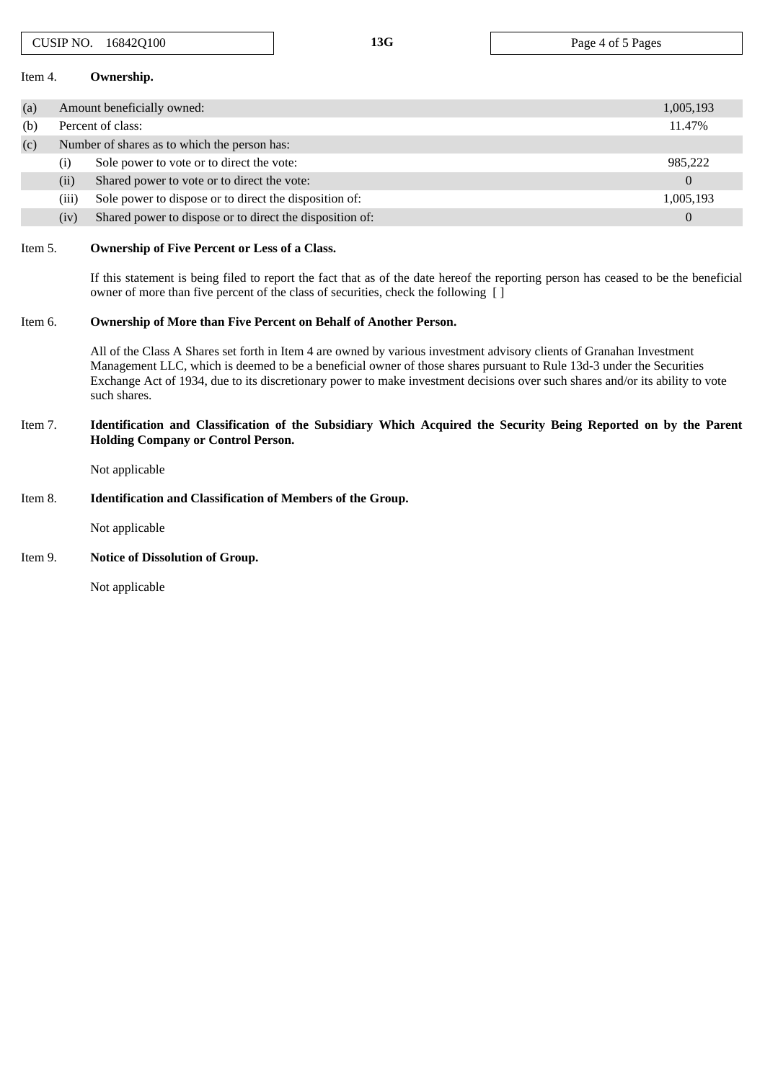| Item 4.                                                                                                                                                                 |       | Ownership.                                                                                                                                                                                                                                                                                                                                                                                     |                |  |  |  |  |  |
|-------------------------------------------------------------------------------------------------------------------------------------------------------------------------|-------|------------------------------------------------------------------------------------------------------------------------------------------------------------------------------------------------------------------------------------------------------------------------------------------------------------------------------------------------------------------------------------------------|----------------|--|--|--|--|--|
| (a)                                                                                                                                                                     |       | Amount beneficially owned:                                                                                                                                                                                                                                                                                                                                                                     |                |  |  |  |  |  |
| (b)                                                                                                                                                                     |       | Percent of class:                                                                                                                                                                                                                                                                                                                                                                              | 11.47%         |  |  |  |  |  |
| (c)                                                                                                                                                                     |       | Number of shares as to which the person has:                                                                                                                                                                                                                                                                                                                                                   |                |  |  |  |  |  |
|                                                                                                                                                                         | (i)   | Sole power to vote or to direct the vote:                                                                                                                                                                                                                                                                                                                                                      | 985,222        |  |  |  |  |  |
|                                                                                                                                                                         | (ii)  | Shared power to vote or to direct the vote:                                                                                                                                                                                                                                                                                                                                                    | $\Omega$       |  |  |  |  |  |
|                                                                                                                                                                         | (iii) | Sole power to dispose or to direct the disposition of:                                                                                                                                                                                                                                                                                                                                         | 1,005,193      |  |  |  |  |  |
|                                                                                                                                                                         | (iv)  | Shared power to dispose or to direct the disposition of:                                                                                                                                                                                                                                                                                                                                       | $\overline{0}$ |  |  |  |  |  |
| Item 5.                                                                                                                                                                 |       | Ownership of Five Percent or Less of a Class.<br>If this statement is being filed to report the fact that as of the date hereof the reporting person has ceased to be the beneficial<br>owner of more than five percent of the class of securities, check the following []                                                                                                                     |                |  |  |  |  |  |
| Item 6.                                                                                                                                                                 |       |                                                                                                                                                                                                                                                                                                                                                                                                |                |  |  |  |  |  |
|                                                                                                                                                                         |       | All of the Class A Shares set forth in Item 4 are owned by various investment advisory clients of Granahan Investment<br>Management LLC, which is deemed to be a beneficial owner of those shares pursuant to Rule 13d-3 under the Securities<br>Exchange Act of 1934, due to its discretionary power to make investment decisions over such shares and/or its ability to vote<br>such shares. |                |  |  |  |  |  |
| Identification and Classification of the Subsidiary Which Acquired the Security Being Reported on by the Parent<br>Item 7.<br><b>Holding Company or Control Person.</b> |       |                                                                                                                                                                                                                                                                                                                                                                                                |                |  |  |  |  |  |
|                                                                                                                                                                         |       | Not applicable                                                                                                                                                                                                                                                                                                                                                                                 |                |  |  |  |  |  |

CUSIP NO. 16842Q100 **13G** Page 4 of 5 Pages

## Item 8. **Identification and Classification of Members of the Group.**

Not applicable

# Item 9. **Notice of Dissolution of Group.**

Not applicable